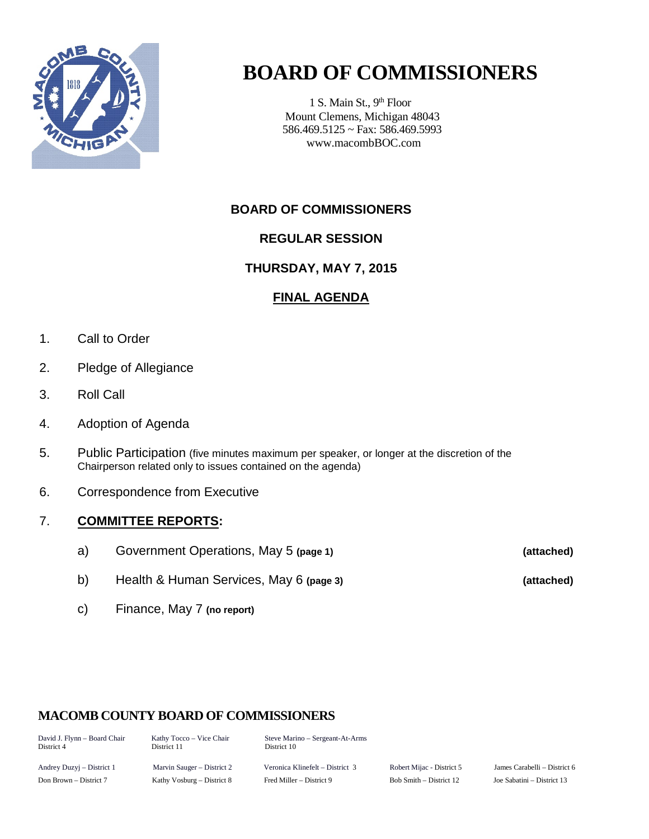

# **BOARD OF COMMISSIONERS**

1 S. Main St., 9<sup>th</sup> Floor Mount Clemens, Michigan 48043 586.469.5125 ~ Fax: 586.469.5993 www.macombBOC.com

# **BOARD OF COMMISSIONERS**

# **REGULAR SESSION**

# **THURSDAY, MAY 7, 2015**

# **FINAL AGENDA**

- 1. Call to Order
- 2. Pledge of Allegiance
- 3. Roll Call
- 4. Adoption of Agenda
- 5. Public Participation (five minutes maximum per speaker, or longer at the discretion of the Chairperson related only to issues contained on the agenda)
- 6. Correspondence from Executive

#### 7. **COMMITTEE REPORTS:**

- a) Government Operations, May 5 **(page 1) (attached)**
- b) Health & Human Services, May 6 **(page 3) (attached)**
- c) Finance, May 7 **(no report)**

# **MACOMB COUNTY BOARD OF COMMISSIONERS**

| David J. Flynn - Board Chair<br>District 4 | Kathy Tocco – Vice Chair<br>District 11 | Steve Marino – Sergeant-At-Arms<br>District 10 |                           |                              |
|--------------------------------------------|-----------------------------------------|------------------------------------------------|---------------------------|------------------------------|
| Andrey Duzyj – District 1                  | Marvin Sauger – District 2              | Veronica Klinefelt – District 3                | Robert Mijac - District 5 | James Carabelli – District 6 |

Don Brown – District 7 Kathy Vosburg – District 8 Fred Miller – District 9 Bob Smith – District 12 Joe Sabatini – District 13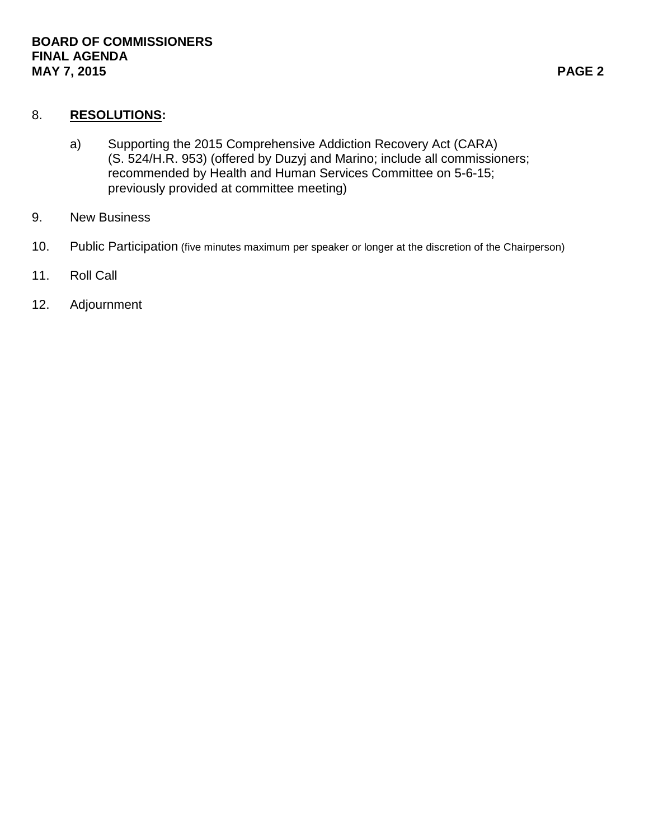### 8. **RESOLUTIONS:**

- a) Supporting the 2015 Comprehensive Addiction Recovery Act (CARA) (S. 524/H.R. 953) (offered by Duzyj and Marino; include all commissioners; recommended by Health and Human Services Committee on 5-6-15; previously provided at committee meeting)
- 9. New Business
- 10. Public Participation (five minutes maximum per speaker or longer at the discretion of the Chairperson)
- 11. Roll Call
- 12. Adjournment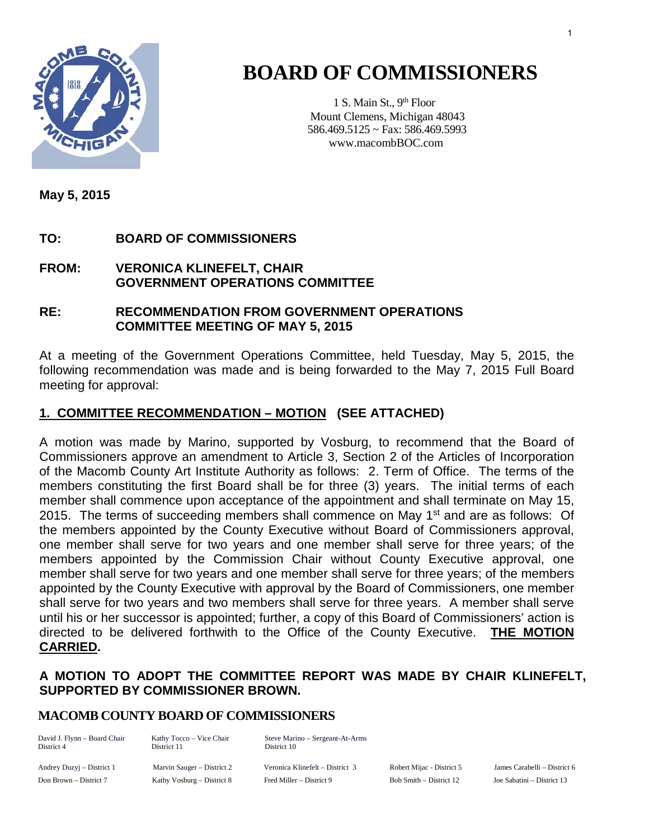

# **BOARD OF COMMISSIONERS**

1 S. Main St., 9<sup>th</sup> Floor Mount Clemens, Michigan 48043 586.469.5125 ~ Fax: 586.469.5993 www.macombBOC.com

**May 5, 2015**

# **TO: BOARD OF COMMISSIONERS**

#### **FROM: VERONICA KLINEFELT, CHAIR GOVERNMENT OPERATIONS COMMITTEE**

#### **RE: RECOMMENDATION FROM GOVERNMENT OPERATIONS COMMITTEE MEETING OF MAY 5, 2015**

At a meeting of the Government Operations Committee, held Tuesday, May 5, 2015, the following recommendation was made and is being forwarded to the May 7, 2015 Full Board meeting for approval:

## **1. COMMITTEE RECOMMENDATION – MOTION (SEE ATTACHED)**

A motion was made by Marino, supported by Vosburg, to recommend that the Board of Commissioners approve an amendment to Article 3, Section 2 of the Articles of Incorporation of the Macomb County Art Institute Authority as follows: 2. Term of Office. The terms of the members constituting the first Board shall be for three (3) years. The initial terms of each member shall commence upon acceptance of the appointment and shall terminate on May 15, 2015. The terms of succeeding members shall commence on May 1<sup>st</sup> and are as follows: Of the members appointed by the County Executive without Board of Commissioners approval, one member shall serve for two years and one member shall serve for three years; of the members appointed by the Commission Chair without County Executive approval, one member shall serve for two years and one member shall serve for three years; of the members appointed by the County Executive with approval by the Board of Commissioners, one member shall serve for two years and two members shall serve for three years. A member shall serve until his or her successor is appointed; further, a copy of this Board of Commissioners' action is directed to be delivered forthwith to the Office of the County Executive. **THE MOTION CARRIED.** 

### **A MOTION TO ADOPT THE COMMITTEE REPORT WAS MADE BY CHAIR KLINEFELT, SUPPORTED BY COMMISSIONER BROWN.**

#### **MACOMB COUNTY BOARD OF COMMISSIONERS**

David J. Flynn – Board Chair Kathy Tocco – Vice Chair Steve Marino – Sergeant-At-Arms District 10

Andrey Duzyj – District 1 Marvin Sauger – District 2 Veronica Klinefelt – District 3 Robert Mijac - District 5 James Carabelli – District 6 Don Brown – District 7 Kathy Vosburg – District 8 Fred Miller – District 9 Bob Smith – District 12 Joe Sabatini – District 13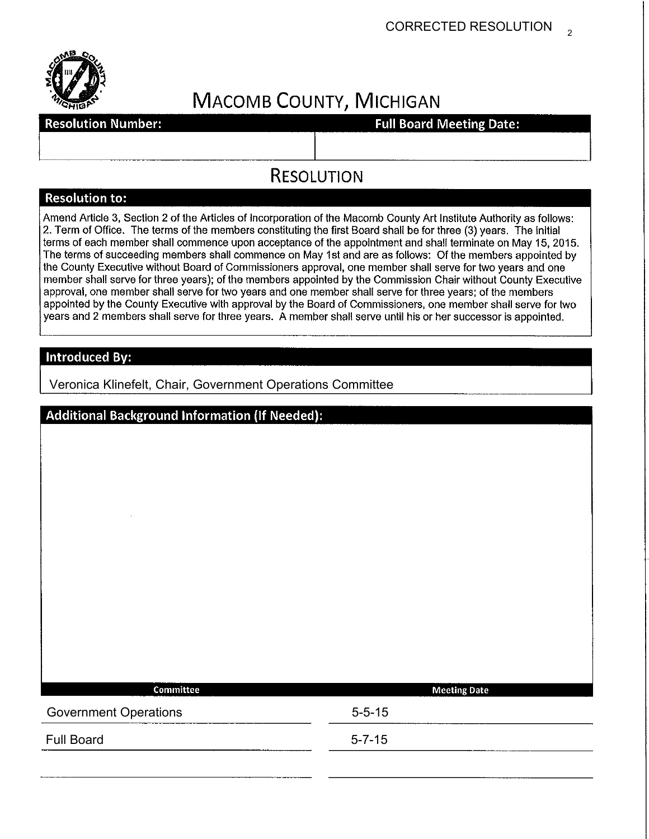

# **MACOMB COUNTY, MICHIGAN**

**Resolution Number:** 

**Full Board Meeting Date:** 

# **RESOLUTION**

#### **Resolution to:**

Amend Article 3, Section 2 of the Articles of Incorporation of the Macomb County Art Institute Authority as follows: 2. Term of Office. The terms of the members constituting the first Board shall be for three (3) years. The initial terms of each member shall commence upon acceptance of the appointment and shall terminate on May 15, 2015. The terms of succeeding members shall commence on May 1st and are as follows: Of the members appointed by the County Executive without Board of Commissioners approval, one member shall serve for two years and one member shall serve for three years); of the members appointed by the Commission Chair without County Executive approval, one member shall serve for two years and one member shall serve for three years; of the members appointed by the County Executive with approval by the Board of Commissioners, one member shall serve for two years and 2 members shall serve for three years. A member shall serve until his or her successor is appointed.

## **Introduced By:**

Veronica Klinefelt, Chair, Government Operations Committee

| <b>Additional Background Information (If Needed):</b> |                     |  |  |  |
|-------------------------------------------------------|---------------------|--|--|--|
|                                                       |                     |  |  |  |
|                                                       |                     |  |  |  |
|                                                       |                     |  |  |  |
|                                                       |                     |  |  |  |
|                                                       |                     |  |  |  |
|                                                       |                     |  |  |  |
|                                                       |                     |  |  |  |
|                                                       |                     |  |  |  |
|                                                       |                     |  |  |  |
|                                                       |                     |  |  |  |
| Committee                                             | <b>Meeting Date</b> |  |  |  |
| <b>Government Operations</b>                          | $5 - 5 - 15$        |  |  |  |
| <b>Full Board</b>                                     | $5 - 7 - 15$        |  |  |  |
|                                                       |                     |  |  |  |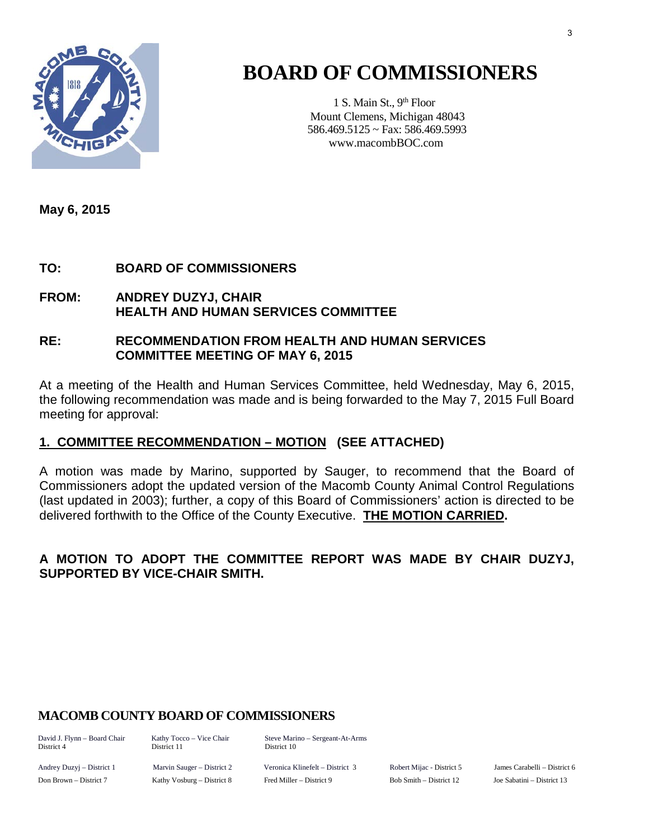

# **BOARD OF COMMISSIONERS**

1 S. Main St., 9<sup>th</sup> Floor Mount Clemens, Michigan 48043 586.469.5125 ~ Fax: 586.469.5993 www.macombBOC.com

**May 6, 2015** 

### **TO: BOARD OF COMMISSIONERS**

**FROM: ANDREY DUZYJ, CHAIR HEALTH AND HUMAN SERVICES COMMITTEE**

#### **RE: RECOMMENDATION FROM HEALTH AND HUMAN SERVICES COMMITTEE MEETING OF MAY 6, 2015**

At a meeting of the Health and Human Services Committee, held Wednesday, May 6, 2015, the following recommendation was made and is being forwarded to the May 7, 2015 Full Board meeting for approval:

#### **1. COMMITTEE RECOMMENDATION – MOTION (SEE ATTACHED)**

A motion was made by Marino, supported by Sauger, to recommend that the Board of Commissioners adopt the updated version of the Macomb County Animal Control Regulations (last updated in 2003); further, a copy of this Board of Commissioners' action is directed to be delivered forthwith to the Office of the County Executive. **THE MOTION CARRIED.** 

### **A MOTION TO ADOPT THE COMMITTEE REPORT WAS MADE BY CHAIR DUZYJ, SUPPORTED BY VICE-CHAIR SMITH.**

# **MACOMB COUNTY BOARD OF COMMISSIONERS**

David J. Flynn – Board Chair Kathy Tocco – Vice Chair Steve Marino – Sergeant-At-Arms District 10

Andrey Duzyj – District 1 Marvin Sauger – District 2 Veronica Klinefelt – District 3 Robert Mijac - District 5 James Carabelli – District 6 Don Brown – District 7 Kathy Vosburg – District 8 Fred Miller – District 9 Bob Smith – District 12 Joe Sabatini – District 13